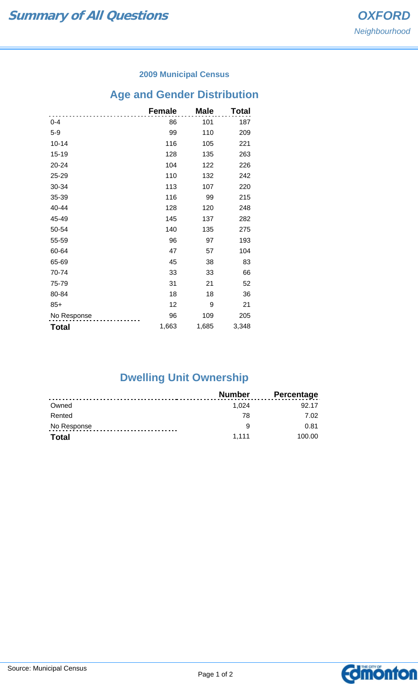### **2009 Municipal Census**

# **Age and Gender Distribution**

|              | <b>Female</b> | <b>Male</b> | Total |
|--------------|---------------|-------------|-------|
| $0 - 4$      | 86            | 101         | 187   |
| $5-9$        | 99            | 110         | 209   |
| $10 - 14$    | 116           | 105         | 221   |
| 15-19        | 128           | 135         | 263   |
| 20-24        | 104           | 122         | 226   |
| 25-29        | 110           | 132         | 242   |
| 30-34        | 113           | 107         | 220   |
| 35-39        | 116           | 99          | 215   |
| 40-44        | 128           | 120         | 248   |
| 45-49        | 145           | 137         | 282   |
| 50-54        | 140           | 135         | 275   |
| 55-59        | 96            | 97          | 193   |
| 60-64        | 47            | 57          | 104   |
| 65-69        | 45            | 38          | 83    |
| 70-74        | 33            | 33          | 66    |
| 75-79        | 31            | 21          | 52    |
| 80-84        | 18            | 18          | 36    |
| $85+$        | 12            | 9           | 21    |
| No Response  | 96            | 109         | 205   |
| <b>Total</b> | 1,663         | 1,685       | 3,348 |

# **Dwelling Unit Ownership**

|              | Number | Percentage |
|--------------|--------|------------|
| Owned        | 1.024  | 92 17      |
| Rented       | 78     | 7.02       |
| No Response  | a      | 0.81       |
| <b>Total</b> | 1.111  | 100.00     |